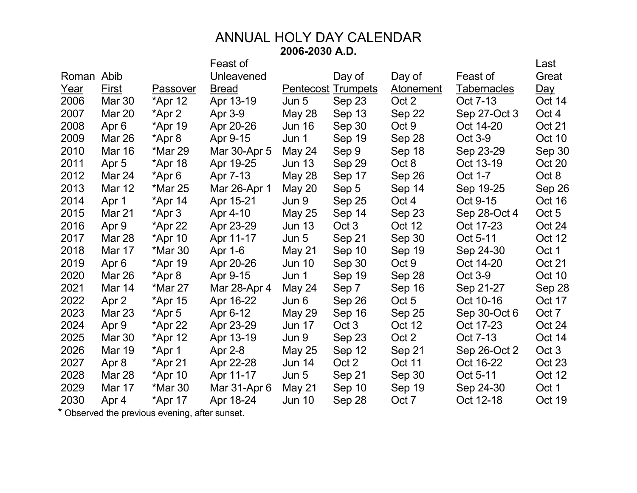## ANNUAL HOLY DAY CALENDAR **2006-2030 A.D.**

|            |                  |                       | Feast of     |               |                           |                  |                    | Last          |
|------------|------------------|-----------------------|--------------|---------------|---------------------------|------------------|--------------------|---------------|
| Roman Abib |                  |                       | Unleavened   |               | Day of                    | Day of           | Feast of           | Great         |
| Year       | First            | Passover              | <b>Bread</b> |               | <b>Pentecost Trumpets</b> | Atonement        | <b>Tabernacles</b> | <u>Day</u>    |
| 2006       | <b>Mar 30</b>    | *Apr 12               | Apr 13-19    | Jun 5         | Sep 23                    | Oct 2            | Oct 7-13           | <b>Oct 14</b> |
| 2007       | <b>Mar 20</b>    | *Apr 2                | Apr 3-9      | May 28        | Sep 13                    | Sep 22           | Sep 27-Oct 3       | Oct 4         |
| 2008       | Apr <sub>6</sub> | *Apr 19               | Apr 20-26    | <b>Jun 16</b> | Sep 30                    | Oct 9            | Oct 14-20          | <b>Oct 21</b> |
| 2009       | Mar 26           | *Apr 8                | Apr 9-15     | Jun 1         | Sep 19                    | Sep 28           | Oct 3-9            | <b>Oct 10</b> |
| 2010       | <b>Mar 16</b>    | <i><b>*Mar 29</b></i> | Mar 30-Apr 5 | May 24        | Sep 9                     | Sep 18           | Sep 23-29          | Sep 30        |
| 2011       | Apr 5            | *Apr 18               | Apr 19-25    | <b>Jun 13</b> | Sep 29                    | Oct 8            | Oct 13-19          | Oct 20        |
| 2012       | <b>Mar 24</b>    | *Apr 6                | Apr 7-13     | <b>May 28</b> | Sep 17                    | Sep 26           | Oct 1-7            | Oct 8         |
| 2013       | <b>Mar 12</b>    | <i><b>*Mar 25</b></i> | Mar 26-Apr 1 | May 20        | Sep 5                     | Sep 14           | Sep 19-25          | Sep 26        |
| 2014       | Apr 1            | *Apr 14               | Apr 15-21    | Jun 9         | Sep 25                    | Oct 4            | Oct 9-15           | Oct 16        |
| 2015       | <b>Mar 21</b>    | *Apr 3                | Apr 4-10     | May 25        | Sep 14                    | Sep 23           | Sep 28-Oct 4       | Oct 5         |
| 2016       | Apr 9            | *Apr 22               | Apr 23-29    | <b>Jun 13</b> | Oct 3                     | Oct 12           | Oct 17-23          | Oct 24        |
| 2017       | <b>Mar 28</b>    | $*Apr 10$             | Apr 11-17    | Jun 5         | Sep 21                    | Sep 30           | Oct 5-11           | Oct 12        |
| 2018       | <b>Mar 17</b>    | <i><b>*Mar 30</b></i> | Apr 1-6      | May 21        | Sep 10                    | Sep 19           | Sep 24-30          | Oct 1         |
| 2019       | Apr 6            | *Apr 19               | Apr 20-26    | <b>Jun 10</b> | Sep 30                    | Oct 9            | Oct 14-20          | Oct 21        |
| 2020       | <b>Mar 26</b>    | *Apr 8                | Apr 9-15     | Jun 1         | Sep 19                    | Sep 28           | Oct 3-9            | Oct 10        |
| 2021       | Mar 14           | *Mar 27               | Mar 28-Apr 4 | May 24        | Sep 7                     | Sep 16           | Sep 21-27          | Sep 28        |
| 2022       | Apr 2            | *Apr 15               | Apr 16-22    | Jun 6         | Sep 26                    | Oct 5            | Oct 10-16          | Oct 17        |
| 2023       | <b>Mar 23</b>    | *Apr 5                | Apr 6-12     | <b>May 29</b> | Sep 16                    | Sep 25           | Sep 30-Oct 6       | Oct 7         |
| 2024       | Apr 9            | *Apr 22               | Apr 23-29    | <b>Jun 17</b> | Oct 3                     | Oct 12           | Oct 17-23          | <b>Oct 24</b> |
| 2025       | <b>Mar 30</b>    | $*$ Apr 12            | Apr 13-19    | Jun 9         | Sep 23                    | Oct 2            | Oct 7-13           | Oct 14        |
| 2026       | <b>Mar 19</b>    | *Apr 1                | Apr 2-8      | May 25        | Sep 12                    | Sep 21           | Sep 26-Oct 2       | Oct 3         |
| 2027       | Apr 8            | *Apr 21               | Apr 22-28    | <b>Jun 14</b> | Oct 2                     | <b>Oct 11</b>    | Oct 16-22          | <b>Oct 23</b> |
| 2028       | <b>Mar 28</b>    | $*Apr 10$             | Apr 11-17    | Jun 5         | Sep 21                    | Sep 30           | Oct 5-11           | <b>Oct 12</b> |
| 2029       | Mar 17           | *Mar 30               | Mar 31-Apr 6 | May 21        | Sep 10                    | Sep 19           | Sep 24-30          | Oct 1         |
| 2030       | Apr 4            | *Apr 17               | Apr 18-24    | <b>Jun 10</b> | Sep 28                    | Oct <sub>7</sub> | Oct 12-18          | <b>Oct 19</b> |
|            |                  |                       |              |               |                           |                  |                    |               |

\* Observed the previous evening, after sunset.